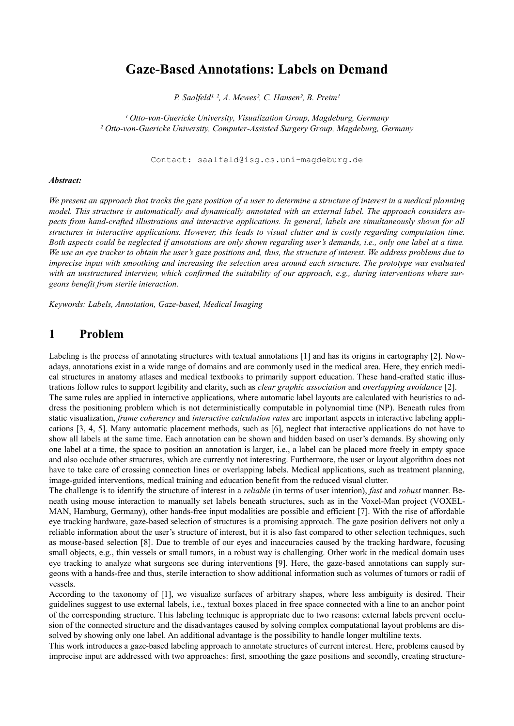# **Gaze-Based Annotations: Labels on Demand**

*P. Saalfeld<sup>1, 2</sup>, A. Mewes<sup>2</sup>, C. Hansen<sup>2</sup>, B. Preim<sup>1</sup>* 

<sup>1</sup> Otto-von-Guericke University, Visualization Group, Magdeburg, Germany *² Otto-von-Guericke University, Computer-Assisted Surgery Group, Magdeburg, Germany*

Contact: saalfeld@isg.cs.uni-magdeburg.de

#### *Abstract:*

*We present an approach that tracks the gaze position of a user to determine a structure of interest in a medical planning model. This structure is automatically and dynamically annotated with an external label. The approach considers aspects from hand-crafted illustrations and interactive applications. In general, labels are simultaneously shown for all structures in interactive applications. However, this leads to visual clutter and is costly regarding computation time. Both aspects could be neglected if annotations are only shown regarding user's demands, i.e., only one label at a time. We use an eye tracker to obtain the user's gaze positions and, thus, the structure of interest. We address problems due to imprecise input with smoothing and increasing the selection area around each structure. The prototype was evaluated with an unstructured interview, which confirmed the suitability of our approach, e.g., during interventions where surgeons benefit from sterile interaction.*

*Keywords: Labels, Annotation, Gaze-based, Medical Imaging*

### **1 Problem**

Labeling is the process of annotating structures with textual annotations [1] and has its origins in cartography [2]. Nowadays, annotations exist in a wide range of domains and are commonly used in the medical area. Here, they enrich medical structures in anatomy atlases and medical textbooks to primarily support education. These hand-crafted static illustrations follow rules to support legibility and clarity, such as *clear graphic association* and *overlapping avoidance* [2].

The same rules are applied in interactive applications, where automatic label layouts are calculated with heuristics to address the positioning problem which is not deterministically computable in polynomial time (NP). Beneath rules from static visualization, *frame coherency* and *interactive calculation rates* are important aspects in interactive labeling applications [3, 4, 5]. Many automatic placement methods, such as [6], neglect that interactive applications do not have to show all labels at the same time. Each annotation can be shown and hidden based on user's demands. By showing only one label at a time, the space to position an annotation is larger, i.e., a label can be placed more freely in empty space and also occlude other structures, which are currently not interesting. Furthermore, the user or layout algorithm does not have to take care of crossing connection lines or overlapping labels. Medical applications, such as treatment planning, image-guided interventions, medical training and education benefit from the reduced visual clutter.

The challenge is to identify the structure of interest in a *reliable* (in terms of user intention), *fast* and *robust* manner. Beneath using mouse interaction to manually set labels beneath structures, such as in the Voxel-Man project (VOXEL-MAN, Hamburg, Germany), other hands-free input modalities are possible and efficient [7]. With the rise of affordable eye tracking hardware, gaze-based selection of structures is a promising approach. The gaze position delivers not only a reliable information about the user's structure of interest, but it is also fast compared to other selection techniques, such as mouse-based selection [8]. Due to tremble of our eyes and inaccuracies caused by the tracking hardware, focusing small objects, e.g., thin vessels or small tumors, in a robust way is challenging. Other work in the medical domain uses eye tracking to analyze what surgeons see during interventions [9]. Here, the gaze-based annotations can supply surgeons with a hands-free and thus, sterile interaction to show additional information such as volumes of tumors or radii of vessels.

According to the taxonomy of [1], we visualize surfaces of arbitrary shapes, where less ambiguity is desired. Their guidelines suggest to use external labels, i.e., textual boxes placed in free space connected with a line to an anchor point of the corresponding structure. This labeling technique is appropriate due to two reasons: external labels prevent occlusion of the connected structure and the disadvantages caused by solving complex computational layout problems are dissolved by showing only one label. An additional advantage is the possibility to handle longer multiline texts.

This work introduces a gaze-based labeling approach to annotate structures of current interest. Here, problems caused by imprecise input are addressed with two approaches: first, smoothing the gaze positions and secondly, creating structure-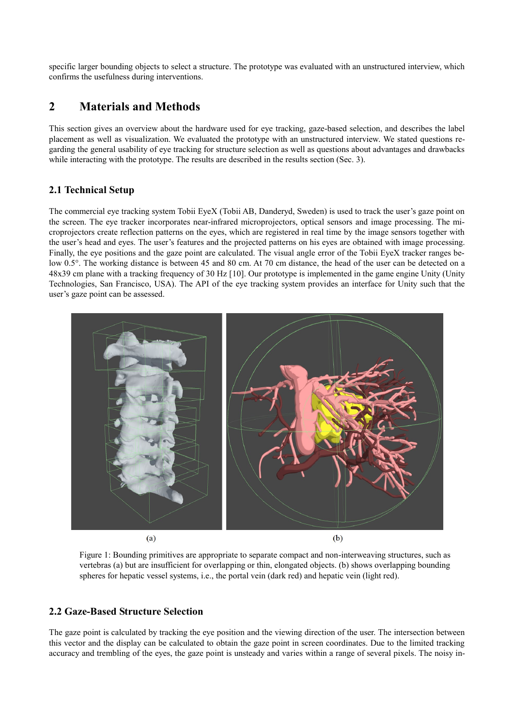specific larger bounding objects to select a structure. The prototype was evaluated with an unstructured interview, which confirms the usefulness during interventions.

# **2 Materials and Methods**

This section gives an overview about the hardware used for eye tracking, gaze-based selection, and describes the label placement as well as visualization. We evaluated the prototype with an unstructured interview. We stated questions regarding the general usability of eye tracking for structure selection as well as questions about advantages and drawbacks while interacting with the prototype. The results are described in the results section (Sec. 3).

### **2.1 Technical Setup**

The commercial eye tracking system Tobii EyeX (Tobii AB, Danderyd, Sweden) is used to track the user's gaze point on the screen. The eye tracker incorporates near-infrared microprojectors, optical sensors and image processing. The microprojectors create reflection patterns on the eyes, which are registered in real time by the image sensors together with the user's head and eyes. The user's features and the projected patterns on his eyes are obtained with image processing. Finally, the eye positions and the gaze point are calculated. The visual angle error of the Tobii EyeX tracker ranges below 0.5°. The working distance is between 45 and 80 cm. At 70 cm distance, the head of the user can be detected on a 48x39 cm plane with a tracking frequency of 30 Hz [10]. Our prototype is implemented in the game engine Unity (Unity Technologies, San Francisco, USA). The API of the eye tracking system provides an interface for Unity such that the user's gaze point can be assessed.



Figure 1: Bounding primitives are appropriate to separate compact and non-interweaving structures, such as vertebras (a) but are insufficient for overlapping or thin, elongated objects. (b) shows overlapping bounding spheres for hepatic vessel systems, i.e., the portal vein (dark red) and hepatic vein (light red).

### **2.2 Gaze-Based Structure Selection**

The gaze point is calculated by tracking the eye position and the viewing direction of the user. The intersection between this vector and the display can be calculated to obtain the gaze point in screen coordinates. Due to the limited tracking accuracy and trembling of the eyes, the gaze point is unsteady and varies within a range of several pixels. The noisy in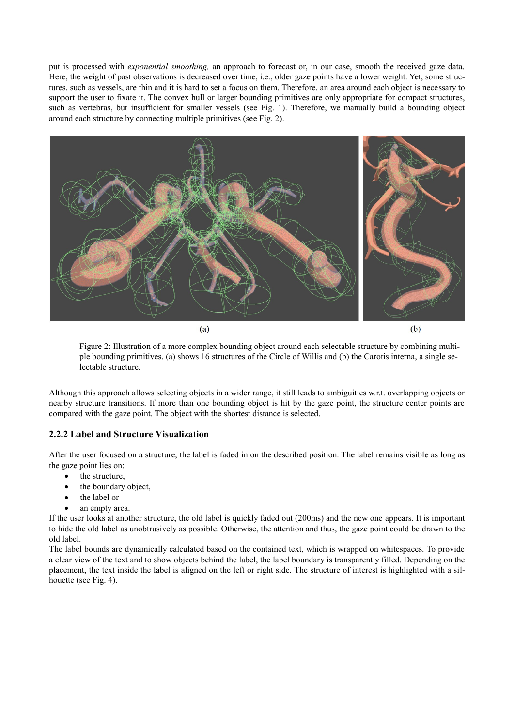put is processed with *exponential smoothing,* an approach to forecast or, in our case, smooth the received gaze data. Here, the weight of past observations is decreased over time, i.e., older gaze points have a lower weight. Yet, some structures, such as vessels, are thin and it is hard to set a focus on them. Therefore, an area around each object is necessary to support the user to fixate it. The convex hull or larger bounding primitives are only appropriate for compact structures, such as vertebras, but insufficient for smaller vessels (see Fig. 1). Therefore, we manually build a bounding object around each structure by connecting multiple primitives (see Fig. 2).



Figure 2: Illustration of a more complex bounding object around each selectable structure by combining multiple bounding primitives. (a) shows 16 structures of the Circle of Willis and (b) the Carotis interna, a single selectable structure.

Although this approach allows selecting objects in a wider range, it still leads to ambiguities w.r.t. overlapping objects or nearby structure transitions. If more than one bounding object is hit by the gaze point, the structure center points are compared with the gaze point. The object with the shortest distance is selected.

### **2.2.2 Label and Structure Visualization**

After the user focused on a structure, the label is faded in on the described position. The label remains visible as long as the gaze point lies on:

- the structure,
- the boundary object,
- the label or
- an empty area.

If the user looks at another structure, the old label is quickly faded out (200ms) and the new one appears. It is important to hide the old label as unobtrusively as possible. Otherwise, the attention and thus, the gaze point could be drawn to the old label.

The label bounds are dynamically calculated based on the contained text, which is wrapped on whitespaces. To provide a clear view of the text and to show objects behind the label, the label boundary is transparently filled. Depending on the placement, the text inside the label is aligned on the left or right side. The structure of interest is highlighted with a silhouette (see Fig. 4).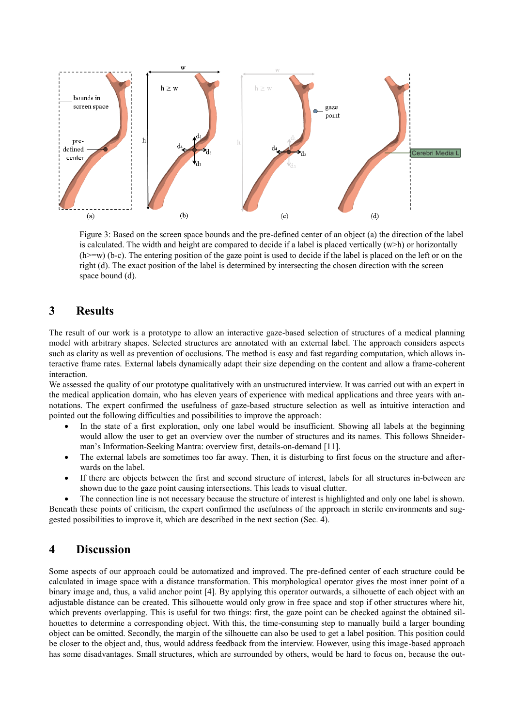

Figure 3: Based on the screen space bounds and the pre-defined center of an object (a) the direction of the label is calculated. The width and height are compared to decide if a label is placed vertically  $(w>h)$  or horizontally (h>=w) (b-c). The entering position of the gaze point is used to decide if the label is placed on the left or on the right (d). The exact position of the label is determined by intersecting the chosen direction with the screen space bound (d).

# **3 Results**

The result of our work is a prototype to allow an interactive gaze-based selection of structures of a medical planning model with arbitrary shapes. Selected structures are annotated with an external label. The approach considers aspects such as clarity as well as prevention of occlusions. The method is easy and fast regarding computation, which allows interactive frame rates. External labels dynamically adapt their size depending on the content and allow a frame-coherent interaction.

We assessed the quality of our prototype qualitatively with an unstructured interview. It was carried out with an expert in the medical application domain, who has eleven years of experience with medical applications and three years with annotations. The expert confirmed the usefulness of gaze-based structure selection as well as intuitive interaction and pointed out the following difficulties and possibilities to improve the approach:

- In the state of a first exploration, only one label would be insufficient. Showing all labels at the beginning would allow the user to get an overview over the number of structures and its names. This follows Shneiderman's Information-Seeking Mantra: overview first, details-on-demand [11].
- The external labels are sometimes too far away. Then, it is disturbing to first focus on the structure and afterwards on the label.
- If there are objects between the first and second structure of interest, labels for all structures in-between are shown due to the gaze point causing intersections. This leads to visual clutter.

 The connection line is not necessary because the structure of interest is highlighted and only one label is shown. Beneath these points of criticism, the expert confirmed the usefulness of the approach in sterile environments and suggested possibilities to improve it, which are described in the next section (Sec. 4).

### **4 Discussion**

Some aspects of our approach could be automatized and improved. The pre-defined center of each structure could be calculated in image space with a distance transformation. This morphological operator gives the most inner point of a binary image and, thus, a valid anchor point [4]. By applying this operator outwards, a silhouette of each object with an adjustable distance can be created. This silhouette would only grow in free space and stop if other structures where hit, which prevents overlapping. This is useful for two things: first, the gaze point can be checked against the obtained silhouettes to determine a corresponding object. With this, the time-consuming step to manually build a larger bounding object can be omitted. Secondly, the margin of the silhouette can also be used to get a label position. This position could be closer to the object and, thus, would address feedback from the interview. However, using this image-based approach has some disadvantages. Small structures, which are surrounded by others, would be hard to focus on, because the out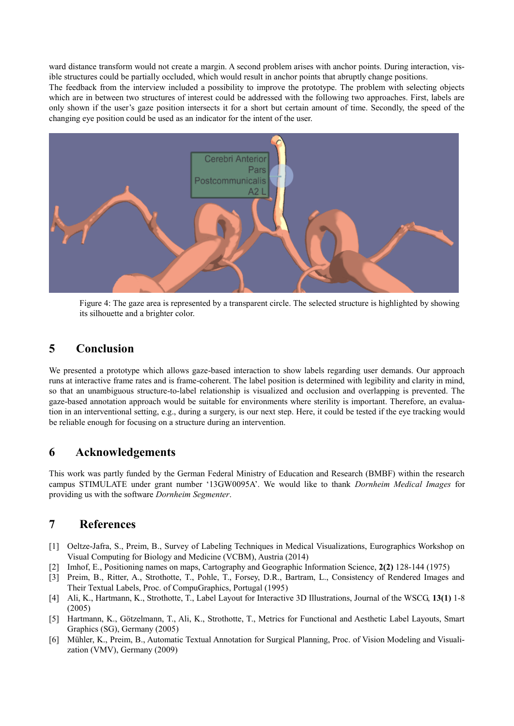ward distance transform would not create a margin. A second problem arises with anchor points. During interaction, visible structures could be partially occluded, which would result in anchor points that abruptly change positions.

The feedback from the interview included a possibility to improve the prototype. The problem with selecting objects which are in between two structures of interest could be addressed with the following two approaches. First, labels are only shown if the user's gaze position intersects it for a short but certain amount of time. Secondly, the speed of the changing eye position could be used as an indicator for the intent of the user.



Figure 4: The gaze area is represented by a transparent circle. The selected structure is highlighted by showing its silhouette and a brighter color.

# **5 Conclusion**

We presented a prototype which allows gaze-based interaction to show labels regarding user demands. Our approach runs at interactive frame rates and is frame-coherent. The label position is determined with legibility and clarity in mind, so that an unambiguous structure-to-label relationship is visualized and occlusion and overlapping is prevented. The gaze-based annotation approach would be suitable for environments where sterility is important. Therefore, an evaluation in an interventional setting, e.g., during a surgery, is our next step. Here, it could be tested if the eye tracking would be reliable enough for focusing on a structure during an intervention.

# **6 Acknowledgements**

This work was partly funded by the German Federal Ministry of Education and Research (BMBF) within the research campus STIMULATE under grant number '13GW0095A'. We would like to thank *Dornheim Medical Images* for providing us with the software *Dornheim Segmenter*.

### **7 References**

- [1] Oeltze-Jafra, S., Preim, B., Survey of Labeling Techniques in Medical Visualizations, Eurographics Workshop on Visual Computing for Biology and Medicine (VCBM), Austria (2014)
- [2] Imhof, E., Positioning names on maps, Cartography and Geographic Information Science, **2(2)** 128-144 (1975)
- [3] Preim, B., Ritter, A., Strothotte, T., Pohle, T., Forsey, D.R., Bartram, L., Consistency of Rendered Images and Their Textual Labels, Proc. of CompuGraphics, Portugal (1995)
- [4] Ali, K., Hartmann, K., Strothotte, T., Label Layout for Interactive 3D Illustrations, Journal of the WSCG, **13(1)** 1-8 (2005)
- [5] Hartmann, K., Götzelmann, T., Ali, K., Strothotte, T., Metrics for Functional and Aesthetic Label Layouts, Smart Graphics (SG), Germany (2005)
- [6] Mühler, K., Preim, B., Automatic Textual Annotation for Surgical Planning, Proc. of Vision Modeling and Visualization (VMV), Germany (2009)